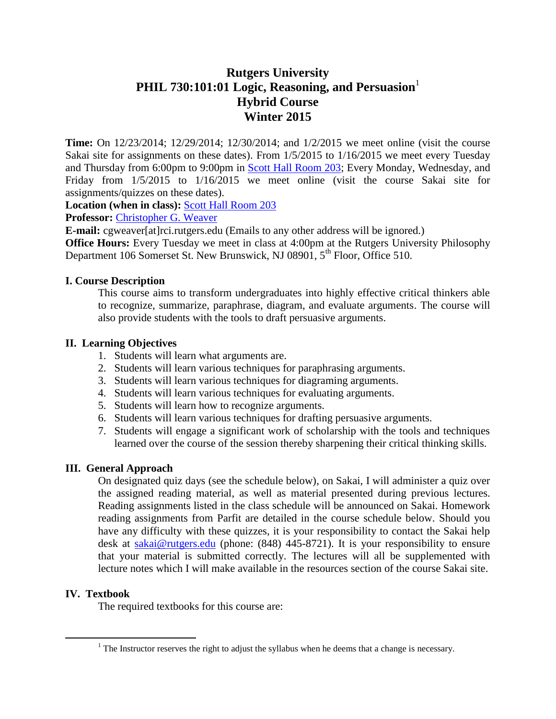# **Rutgers University** PHIL 730:101:01 Logic, Reasoning, and Persuasion<sup>1</sup> **Hybrid Course Winter 2015**

**Time:** On 12/23/2014; 12/29/2014; 12/30/2014; and 1/2/2015 we meet online (visit the course Sakai site for assignments on these dates). From 1/5/2015 to 1/16/2015 we meet every Tuesday and Thursday from 6:00pm to 9:00pm in [Scott Hall Room 203;](http://rumaps.rutgers.edu/location/scott-hall) Every Monday, Wednesday, and Friday from 1/5/2015 to 1/16/2015 we meet online (visit the course Sakai site for assignments/quizzes on these dates).

**Location (when in class):** [Scott Hall Room 203](http://rumaps.rutgers.edu/location/scott-hall)

**Professor:** [Christopher G. Weaver](http://philosophy.rutgers.edu/for-students/462-weaver-christoper-gregory)

**E-mail:** cgweaver[at]rci.rutgers.edu (Emails to any other address will be ignored.)

**Office Hours:** Every Tuesday we meet in class at 4:00pm at the Rutgers University Philosophy Department 106 Somerset St. New Brunswick, NJ 08901,  $5<sup>th</sup>$  Floor, Office 510.

### **I. Course Description**

This course aims to transform undergraduates into highly effective critical thinkers able to recognize, summarize, paraphrase, diagram, and evaluate arguments. The course will also provide students with the tools to draft persuasive arguments.

### **II. Learning Objectives**

- 1. Students will learn what arguments are.
- 2. Students will learn various techniques for paraphrasing arguments.
- 3. Students will learn various techniques for diagraming arguments.
- 4. Students will learn various techniques for evaluating arguments.
- 5. Students will learn how to recognize arguments.
- 6. Students will learn various techniques for drafting persuasive arguments.
- 7. Students will engage a significant work of scholarship with the tools and techniques learned over the course of the session thereby sharpening their critical thinking skills.

### **III. General Approach**

On designated quiz days (see the schedule below), on Sakai, I will administer a quiz over the assigned reading material, as well as material presented during previous lectures. Reading assignments listed in the class schedule will be announced on Sakai. Homework reading assignments from Parfit are detailed in the course schedule below. Should you have any difficulty with these quizzes, it is your responsibility to contact the Sakai help desk at [sakai@rutgers.edu](mailto:sakai@rutgers.edu) (phone: (848) 445-8721). It is your responsibility to ensure that your material is submitted correctly. The lectures will all be supplemented with lecture notes which I will make available in the resources section of the course Sakai site.

### **IV. Textbook**

 $\overline{a}$ 

The required textbooks for this course are:

 $1$  The Instructor reserves the right to adjust the syllabus when he deems that a change is necessary.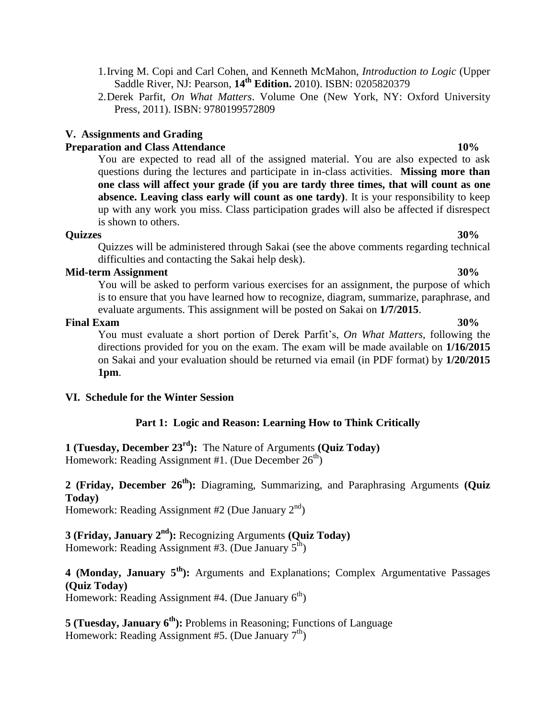1.Irving M. Copi and Carl Cohen, and Kenneth McMahon, *Introduction to Logic* (Upper Saddle River, NJ: Pearson, **14th Edition.** 2010). ISBN: 0205820379

2.Derek Parfit, *On What Matters*. Volume One (New York, NY: Oxford University Press, 2011). ISBN: 9780199572809

# **V. Assignments and Grading**

# **Preparation and Class Attendance 10%**

You are expected to read all of the assigned material. You are also expected to ask questions during the lectures and participate in in-class activities. **Missing more than one class will affect your grade (if you are tardy three times, that will count as one absence. Leaving class early will count as one tardy)**. It is your responsibility to keep up with any work you miss. Class participation grades will also be affected if disrespect is shown to others.

#### **Quizzes 30%**

Quizzes will be administered through Sakai (see the above comments regarding technical difficulties and contacting the Sakai help desk).

### **Mid-term Assignment 30%**

You will be asked to perform various exercises for an assignment, the purpose of which is to ensure that you have learned how to recognize, diagram, summarize, paraphrase, and evaluate arguments. This assignment will be posted on Sakai on **1/7/2015**.

### **Final Exam 30%**

You must evaluate a short portion of Derek Parfit's, *On What Matters*, following the directions provided for you on the exam. The exam will be made available on **1/16/2015** on Sakai and your evaluation should be returned via email (in PDF format) by **1/20/2015 1pm**.

## **VI. Schedule for the Winter Session**

## **Part 1: Logic and Reason: Learning How to Think Critically**

**1 (Tuesday, December 23rd):** The Nature of Arguments **(Quiz Today)** Homework: Reading Assignment #1. (Due December  $26<sup>th</sup>$ )

# **2 (Friday, December 26th):** Diagraming, Summarizing, and Paraphrasing Arguments **(Quiz Today)**

Homework: Reading Assignment #2 (Due January  $2<sup>nd</sup>$ )

**3 (Friday, January 2 nd):** Recognizing Arguments **(Quiz Today)** Homework: Reading Assignment #3. (Due January  $5^{\text{th}}$ )

**4 (Monday, January 5 th):** Arguments and Explanations; Complex Argumentative Passages **(Quiz Today)**

Homework: Reading Assignment #4. (Due January  $6<sup>th</sup>$ )

**5 (Tuesday, January 6 th):** Problems in Reasoning; Functions of Language Homework: Reading Assignment #5. (Due January  $7<sup>th</sup>$ )